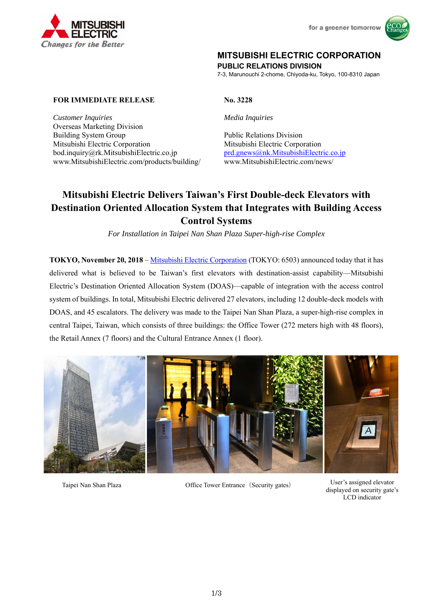



## **MITSUBISHI ELECTRIC CORPORATION**

**PUBLIC RELATIONS DIVISION** 

7-3, Marunouchi 2-chome, Chiyoda-ku, Tokyo, 100-8310 Japan

#### **FOR IMMEDIATE RELEASE No. 3228**

*Customer Inquiries Media Inquiries*  Overseas Marketing Division Building System Group Public Relations Division Mitsubishi Electric Corporation Mitsubishi Electric Corporation bod.inquiry@rk.MitsubishiElectric.co.jp prd.gnews@nk.MitsubishiElectric.co.jp www.MitsubishiElectric.com/products/building/ www.MitsubishiElectric.com/news/

# **Mitsubishi Electric Delivers Taiwan's First Double-deck Elevators with Destination Oriented Allocation System that Integrates with Building Access Control Systems**

*For Installation in Taipei Nan Shan Plaza Super-high-rise Complex* 

**TOKYO, November 20, 2018** – Mitsubishi Electric Corporation (TOKYO: 6503) announced today that it has delivered what is believed to be Taiwan's first elevators with destination-assist capability—Mitsubishi Electric's Destination Oriented Allocation System (DOAS)—capable of integration with the access control system of buildings. In total, Mitsubishi Electric delivered 27 elevators, including 12 double-deck models with DOAS, and 45 escalators. The delivery was made to the Taipei Nan Shan Plaza, a super-high-rise complex in central Taipei, Taiwan, which consists of three buildings: the Office Tower (272 meters high with 48 floors), the Retail Annex (7 floors) and the Cultural Entrance Annex (1 floor).



Taipei Nan Shan Plaza Office Tower Entrance (Security gates) User's assigned elevator

displayed on security gate's LCD indicator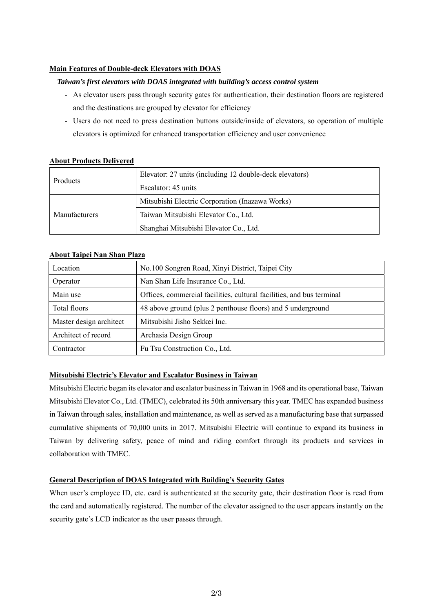#### **Main Features of Double-deck Elevators with DOAS**

#### *Taiwan's first elevators with DOAS integrated with building's access control system*

- As elevator users pass through security gates for authentication, their destination floors are registered and the destinations are grouped by elevator for efficiency
- Users do not need to press destination buttons outside/inside of elevators, so operation of multiple elevators is optimized for enhanced transportation efficiency and user convenience

| <b>Products</b> | Elevator: 27 units (including 12 double-deck elevators) |
|-----------------|---------------------------------------------------------|
|                 | Escalator: 45 units                                     |
| Manufacturers   | Mitsubishi Electric Corporation (Inazawa Works)         |
|                 | Taiwan Mitsubishi Elevator Co., Ltd.                    |
|                 | Shanghai Mitsubishi Elevator Co., Ltd.                  |

#### **About Products Delivered**

#### **About Taipei Nan Shan Plaza**

| Location                | No.100 Songren Road, Xinyi District, Taipei City                      |
|-------------------------|-----------------------------------------------------------------------|
| Operator                | Nan Shan Life Insurance Co., Ltd.                                     |
| Main use                | Offices, commercial facilities, cultural facilities, and bus terminal |
| Total floors            | 48 above ground (plus 2 penthouse floors) and 5 underground           |
| Master design architect | Mitsubishi Jisho Sekkei Inc.                                          |
| Architect of record     | Archasia Design Group                                                 |
| Contractor              | Fu Tsu Construction Co., Ltd.                                         |

#### **Mitsubishi Electric's Elevator and Escalator Business in Taiwan**

Mitsubishi Electric began its elevator and escalator business in Taiwan in 1968 and its operational base, Taiwan Mitsubishi Elevator Co., Ltd. (TMEC), celebrated its 50th anniversary this year. TMEC has expanded business in Taiwan through sales, installation and maintenance, as well as served as a manufacturing base that surpassed cumulative shipments of 70,000 units in 2017. Mitsubishi Electric will continue to expand its business in Taiwan by delivering safety, peace of mind and riding comfort through its products and services in collaboration with TMEC.

#### **General Description of DOAS Integrated with Building's Security Gates**

When user's employee ID, etc. card is authenticated at the security gate, their destination floor is read from the card and automatically registered. The number of the elevator assigned to the user appears instantly on the security gate's LCD indicator as the user passes through.